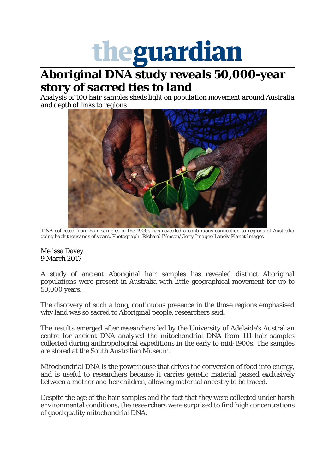## theguardian

## **Aboriginal DNA study reveals 50,000-year story of sacred ties to land**

*Analysis of 100 hair sampl[es sheds light on population movement around Australia](https://www.theguardian.com/australia-news/2017/mar/09/aboriginal-dna-study-reveals-50000-year-story-of-sacred-ties-to-land#img-1)  [and depth of links to regions](https://www.theguardian.com/australia-news/2017/mar/09/aboriginal-dna-study-reveals-50000-year-story-of-sacred-ties-to-land#img-1)*



*DNA collected from hair samples in the 1900s has revealed a continuous connection to regions of Australia going back thousands of years. Photograph: Richard I'Anson/Getty Images/Lonely Planet Images*

## Melissa Davey 9 March 2017

A study of ancient Aboriginal hair samples has revealed distinct Aboriginal populations were present in Australia with little geographical movement for up to 50,000 years.

The discovery of such a long, continuous presence in the those regions emphasised why land was so sacred to Aboriginal people, researchers said.

The results emerged after researchers led by the University of Adelaide's Australian centre for ancient DNA analysed the mitochondrial DNA from 111 hair samples collected during anthropological expeditions in the early to mid-1900s. The samples are stored at the South Australian Museum.

Mitochondrial DNA is the powerhouse that drives the conversion of food into energy, and is useful to researchers because it carries genetic material passed exclusively between a mother and her children, allowing maternal ancestry to be traced.

Despite the age of the hair samples and the fact that they were collected under harsh environmental conditions, the researchers were surprised to find high concentrations of good quality mitochondrial DNA.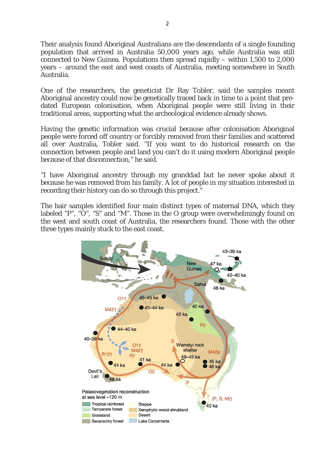Their analysis found Aboriginal Australians are the descendants of a single founding population that arrived in Australia 50,000 years ago, while Australia was still connected to New Guinea. Populations then spread rapidly – within 1,500 to 2,000 years – around the east and west coasts of Australia, meeting somewhere in South Australia.

One of the researchers, the geneticist Dr Ray Tobler, said the samples meant Aboriginal ancestry could now be genetically traced back in time to a point that predated European colonisation, when Aboriginal people were still living in their traditional areas, supporting what the archeological evidence already shows.

Having the genetic information was crucial because after colonisation Aboriginal people were forced off country or forcibly removed from their families and scattered all over Australia, Tobler said. "If you want to do historical research on the connection between people and land you can't do it using modern Aboriginal people because of that disconnection," he said.

"I have Aboriginal ancestry through my granddad but he never spoke about it because he was removed from his family. A lot of people in my situation interested in recording their history can do so through this project."

The hair samples identified four main distinct types of maternal DNA, which they labeled "P", "O", "S" and "M". Those in the O group were overwhelmingly found on the west and south coast of Australia, the researchers found. Those with the other three types mainly stuck to the east coast[.](https://www.theguardian.com/australia-news/2017/mar/09/aboriginal-dna-study-reveals-50000-year-story-of-sacred-ties-to-land#img-2)

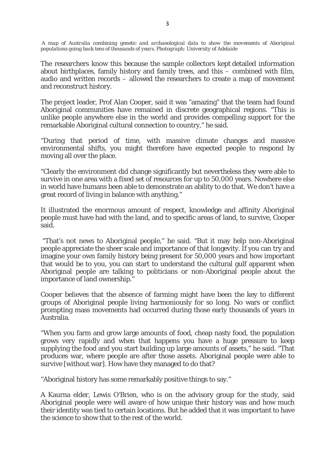*A map of Australia combining genetic and archaeological data to show the movements of Aboriginal populations going back tens of thousands of years. Photograph: University of Adelaide*

The researchers know this because the sample collectors kept detailed information about birthplaces, family history and family trees, and this – combined with film, audio and written records – allowed the researchers to create a map of movement and reconstruct history.

The project leader, Prof Alan Cooper, said it was "amazing" that the team had found Aboriginal communities have remained in discrete geographical regions. "This is unlike people anywhere else in the world and provides compelling support for the remarkable Aboriginal cultural connection to country," he said.

"During that period of time, with massive climate changes and massive environmental shifts, you might therefore have expected people to respond by moving all over the place.

"Clearly the environment did change significantly but nevertheless they were able to survive in one area with a fixed set of resources for up to 50,000 years. Nowhere else in world have humans been able to demonstrate an ability to do that. We don't have a great record of living in balance with anything."

It illustrated the enormous amount of respect, knowledge and affinity Aboriginal people must have had with the land, and to specific areas of land, to survive, Cooper said.

"That's not news to Aboriginal people," he said. "But it may help non-Aboriginal people appreciate the sheer scale and importance of that longevity. If you can try and imagine your own family history being present for 50,000 years and how important that would be to you, you can start to understand the cultural gulf apparent when Aboriginal people are talking to politicians or non-Aboriginal people about the importance of land ownership."

Cooper believes that the absence of farming might have been the key to different groups of Aboriginal people living harmoniously for so long. No wars or conflict prompting mass movements had occurred during those early thousands of years in Australia.

"When you farm and grow large amounts of food, cheap nasty food, the population grows very rapidly and when that happens you have a huge pressure to keep supplying the food and you start building up large amounts of assets," he said. "That produces war, where people are after those assets. Aboriginal people were able to survive [without war]. How have they managed to do that?

"Aboriginal history has some remarkably positive things to say."

A Kaurna elder, Lewis O'Brien, who is on the advisory group for the study, said Aboriginal people were well aware of how unique their history was and how much their identity was tied to certain locations. But he added that it was important to have the science to show that to the rest of the world.